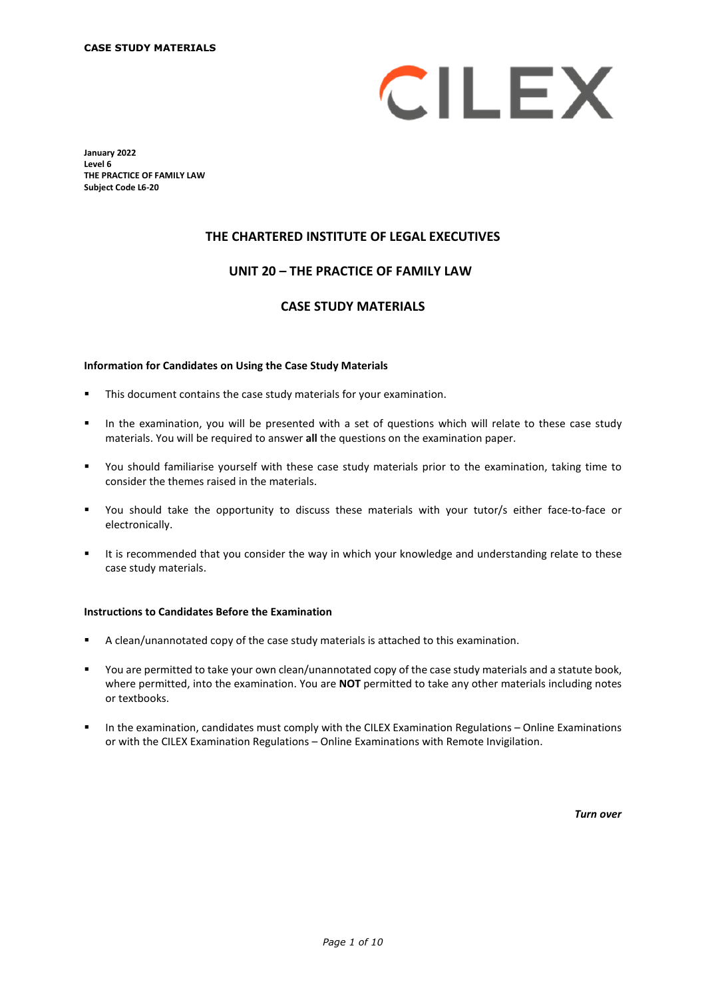

**January 2022 Level 6 THE PRACTICE OF FAMILY LAW Subject Code L6-20**

## **THE CHARTERED INSTITUTE OF LEGAL EXECUTIVES**

# **UNIT 20 – THE PRACTICE OF FAMILY LAW\***

## **CASE STUDY MATERIALS**

#### **Information for Candidates on Using the Case Study Materials**

- This document contains the case study materials for your examination.
- In the examination, you will be presented with a set of questions which will relate to these case study materials. You will be required to answer **all** the questions on the examination paper.
- You should familiarise yourself with these case study materials prior to the examination, taking time to consider the themes raised in the materials.
- You should take the opportunity to discuss these materials with your tutor/s either face-to-face or electronically.
- It is recommended that you consider the way in which your knowledge and understanding relate to these case study materials.

#### **Instructions to Candidates Before the Examination**

- A clean/unannotated copy of the case study materials is attached to this examination.
- You are permitted to take your own clean/unannotated copy of the case study materials and a statute book, where permitted, into the examination. You are **NOT** permitted to take any other materials including notes or textbooks.
- **In the examination, candidates must comply with the CILEX Examination Regulations Online Examinations** or with the CILEX Examination Regulations – Online Examinations with Remote Invigilation.

*Turn over*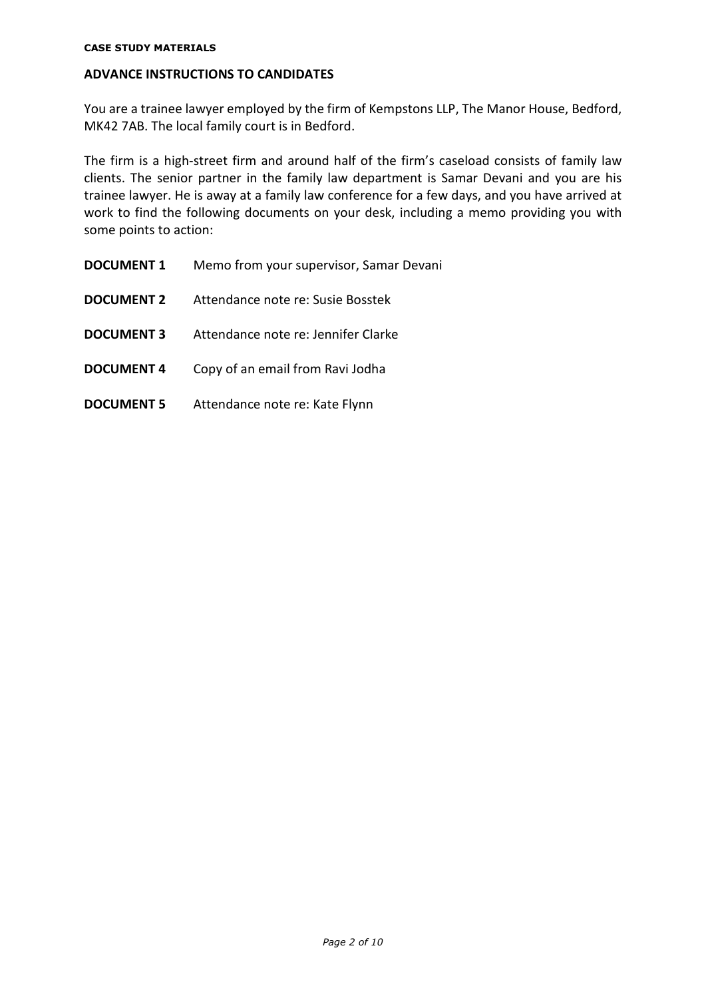#### **CASE STUDY MATERIALS**

# **ADVANCE INSTRUCTIONS TO CANDIDATES**

You are a trainee lawyer employed by the firm of Kempstons LLP, The Manor House, Bedford, MK42 7AB. The local family court is in Bedford.

The firm is a high-street firm and around half of the firm's caseload consists of family law clients. The senior partner in the family law department is Samar Devani and you are his trainee lawyer. He is away at a family law conference for a few days, and you have arrived at work to find the following documents on your desk, including a memo providing you with some points to action:

**DOCUMENT 1** Memo from your supervisor, Samar Devani **DOCUMENT 2** Attendance note re: Susie Bosstek **DOCUMENT 3** Attendance note re: Jennifer Clarke **DOCUMENT 4** Copy of an email from Ravi Jodha **DOCUMENT 5** Attendance note re: Kate Flynn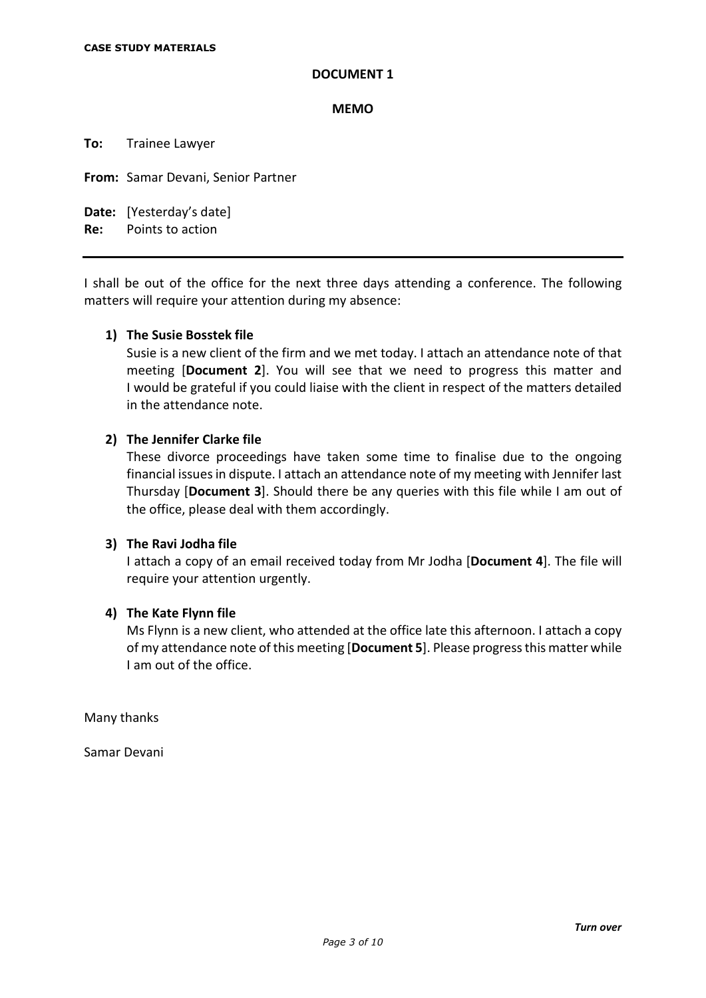### **MEMO**

**To:** Trainee Lawyer

**From:** Samar Devani, Senior Partner

**Date:** [Yesterday's date]

**Re:** Points to action

I shall be out of the office for the next three days attending a conference. The following matters will require your attention during my absence:

# **1) The Susie Bosstek file**

Susie is a new client of the firm and we met today. I attach an attendance note of that meeting [**Document 2**]. You will see that we need to progress this matter and I would be grateful if you could liaise with the client in respect of the matters detailed in the attendance note.

# **2) The Jennifer Clarke file**

These divorce proceedings have taken some time to finalise due to the ongoing financial issues in dispute. I attach an attendance note of my meeting with Jennifer last Thursday [**Document 3**]. Should there be any queries with this file while I am out of the office, please deal with them accordingly.

# **3) The Ravi Jodha file**

I attach a copy of an email received today from Mr Jodha [**Document 4**]. The file will require your attention urgently.

# **4) The Kate Flynn file**

Ms Flynn is a new client, who attended at the office late this afternoon. I attach a copy of my attendance note of this meeting [**Document 5**]. Please progress this matter while I am out of the office.

Many thanks

Samar Devani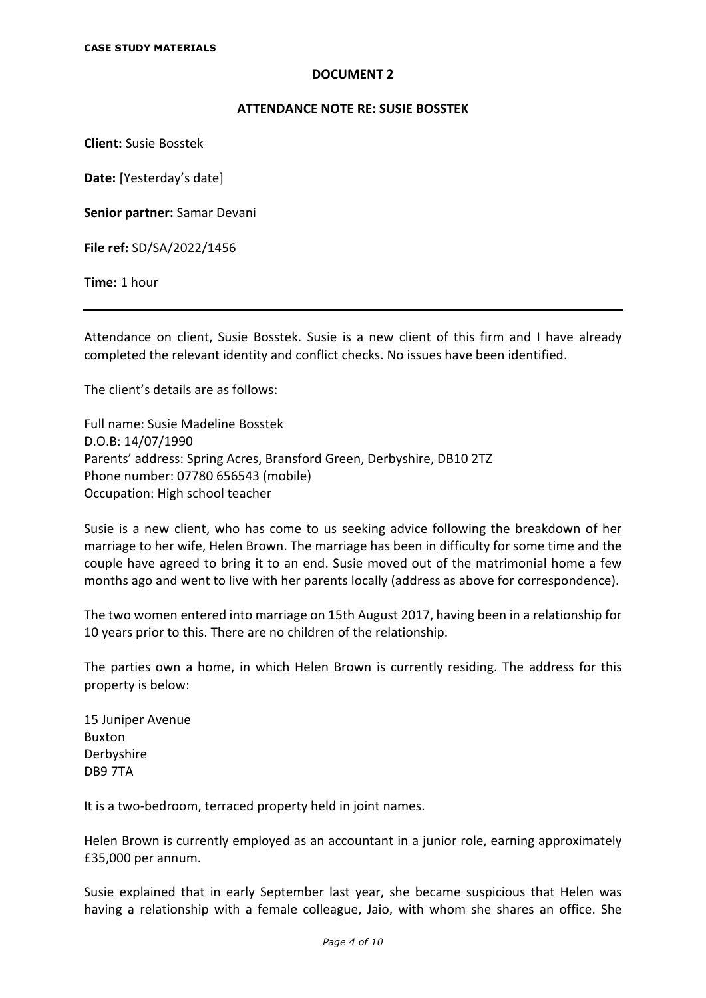### **ATTENDANCE NOTE RE: SUSIE BOSSTEK**

**Client:** Susie Bosstek

**Date:** [Yesterday's date]

**Senior partner:** Samar Devani

**File ref:** SD/SA/2022/1456

**Time:** 1 hour

Attendance on client, Susie Bosstek. Susie is a new client of this firm and I have already completed the relevant identity and conflict checks. No issues have been identified.

The client's details are as follows:

Full name: Susie Madeline Bosstek D.O.B: 14/07/1990 Parents' address: Spring Acres, Bransford Green, Derbyshire, DB10 2TZ Phone number: 07780 656543 (mobile) Occupation: High school teacher

Susie is a new client, who has come to us seeking advice following the breakdown of her marriage to her wife, Helen Brown. The marriage has been in difficulty for some time and the couple have agreed to bring it to an end. Susie moved out of the matrimonial home a few months ago and went to live with her parents locally (address as above for correspondence).

The two women entered into marriage on 15th August 2017, having been in a relationship for 10 years prior to this. There are no children of the relationship.

The parties own a home, in which Helen Brown is currently residing. The address for this property is below:

15 Juniper Avenue Buxton Derbyshire DB9 7TA

It is a two-bedroom, terraced property held in joint names.

Helen Brown is currently employed as an accountant in a junior role, earning approximately £35,000 per annum.

Susie explained that in early September last year, she became suspicious that Helen was having a relationship with a female colleague, Jaio, with whom she shares an office. She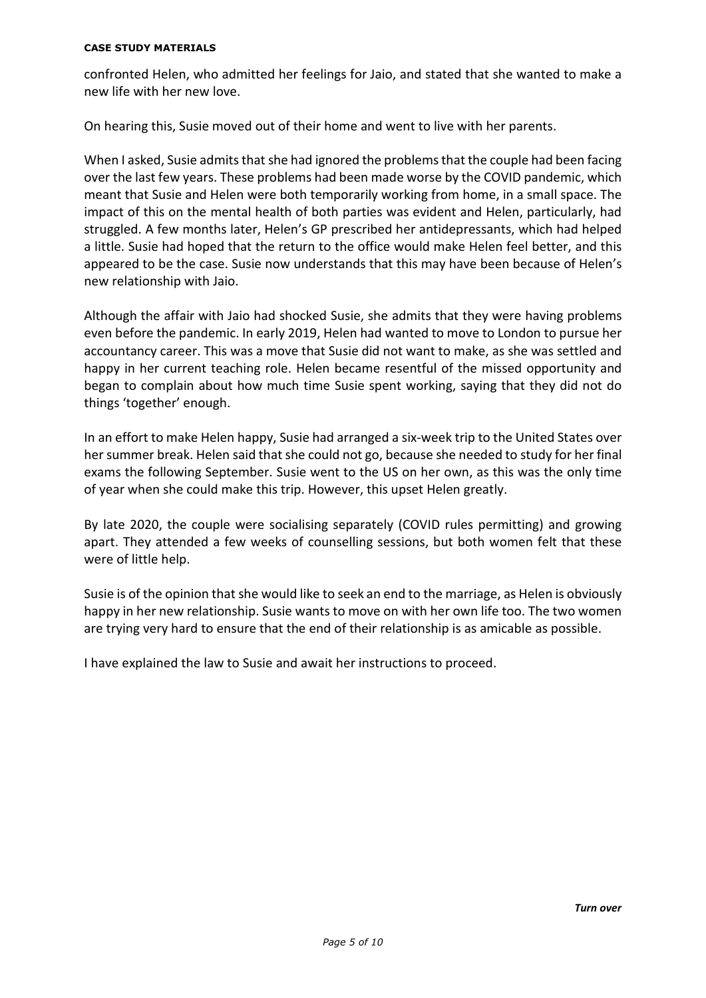### **CASE STUDY MATERIALS**

confronted Helen, who admitted her feelings for Jaio, and stated that she wanted to make a new life with her new love.

On hearing this, Susie moved out of their home and went to live with her parents.

When I asked, Susie admits that she had ignored the problems that the couple had been facing over the last few years. These problems had been made worse by the COVID pandemic, which meant that Susie and Helen were both temporarily working from home, in a small space. The impact of this on the mental health of both parties was evident and Helen, particularly, had struggled. A few months later, Helen's GP prescribed her antidepressants, which had helped a little. Susie had hoped that the return to the office would make Helen feel better, and this appeared to be the case. Susie now understands that this may have been because of Helen's new relationship with Jaio.

Although the affair with Jaio had shocked Susie, she admits that they were having problems even before the pandemic. In early 2019, Helen had wanted to move to London to pursue her accountancy career. This was a move that Susie did not want to make, as she was settled and happy in her current teaching role. Helen became resentful of the missed opportunity and began to complain about how much time Susie spent working, saying that they did not do things 'together' enough.

In an effort to make Helen happy, Susie had arranged a six-week trip to the United States over her summer break. Helen said that she could not go, because she needed to study for her final exams the following September. Susie went to the US on her own, as this was the only time of year when she could make this trip. However, this upset Helen greatly.

By late 2020, the couple were socialising separately (COVID rules permitting) and growing apart. They attended a few weeks of counselling sessions, but both women felt that these were of little help.

Susie is of the opinion that she would like to seek an end to the marriage, as Helen is obviously happy in her new relationship. Susie wants to move on with her own life too. The two women are trying very hard to ensure that the end of their relationship is as amicable as possible.

I have explained the law to Susie and await her instructions to proceed.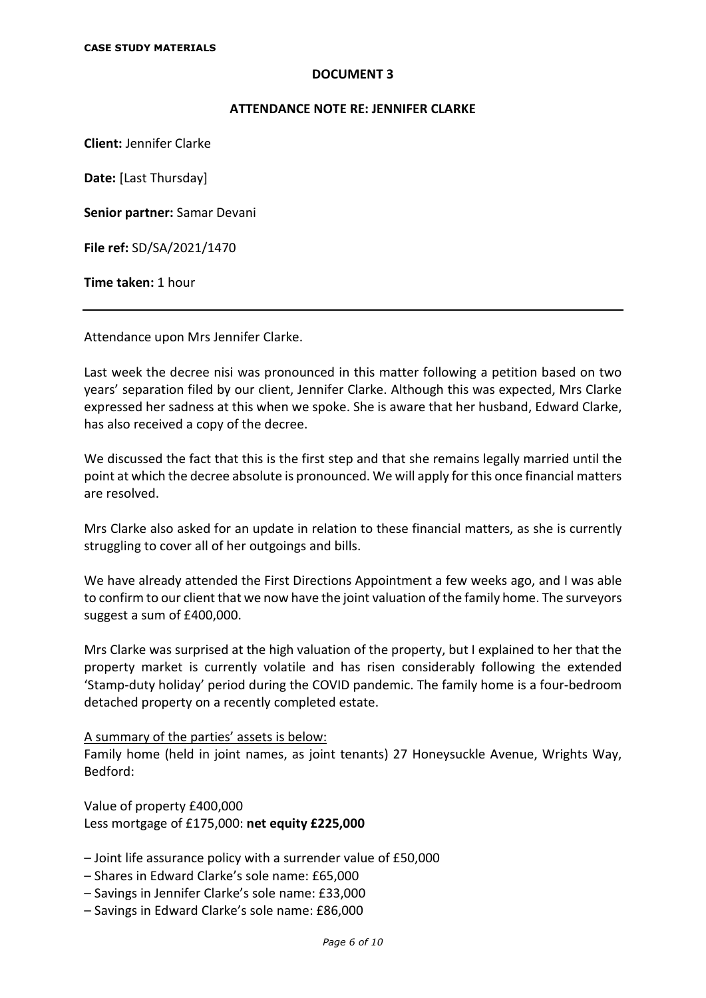### **ATTENDANCE NOTE RE: JENNIFER CLARKE**

**Client:** Jennifer Clarke

**Date:** [Last Thursday]

**Senior partner:** Samar Devani

**File ref:** SD/SA/2021/1470

**Time taken:** 1 hour

Attendance upon Mrs Jennifer Clarke.

Last week the decree nisi was pronounced in this matter following a petition based on two years' separation filed by our client, Jennifer Clarke. Although this was expected, Mrs Clarke expressed her sadness at this when we spoke. She is aware that her husband, Edward Clarke, has also received a copy of the decree.

We discussed the fact that this is the first step and that she remains legally married until the point at which the decree absolute is pronounced. We will apply for this once financial matters are resolved.

Mrs Clarke also asked for an update in relation to these financial matters, as she is currently struggling to cover all of her outgoings and bills.

We have already attended the First Directions Appointment a few weeks ago, and I was able to confirm to our client that we now have the joint valuation of the family home. The surveyors suggest a sum of £400,000.

Mrs Clarke was surprised at the high valuation of the property, but I explained to her that the property market is currently volatile and has risen considerably following the extended 'Stamp-duty holiday' period during the COVID pandemic. The family home is a four-bedroom detached property on a recently completed estate.

### A summary of the parties' assets is below:

Family home (held in joint names, as joint tenants) 27 Honeysuckle Avenue, Wrights Way, Bedford:

Value of property £400,000 Less mortgage of £175,000: **net equity £225,000**

- Joint life assurance policy with a surrender value of £50,000
- Shares in Edward Clarke's sole name: £65,000
- Savings in Jennifer Clarke's sole name: £33,000
- Savings in Edward Clarke's sole name: £86,000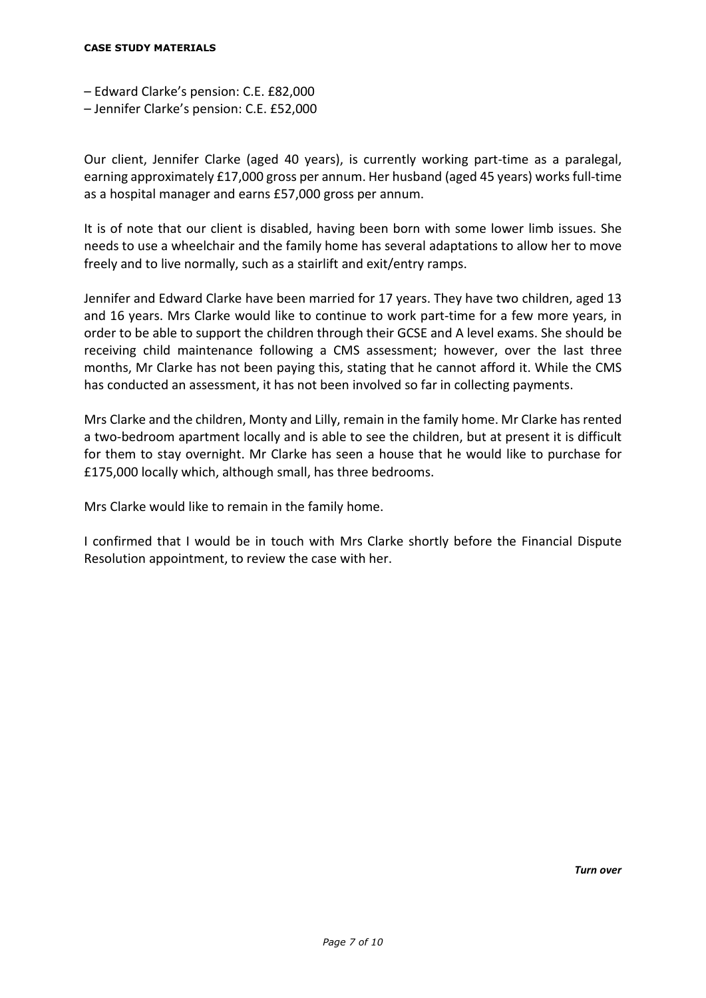#### **CASE STUDY MATERIALS**

- Edward Clarke's pension: C.E. £82,000
- Jennifer Clarke's pension: C.E. £52,000

Our client, Jennifer Clarke (aged 40 years), is currently working part-time as a paralegal, earning approximately £17,000 gross per annum. Her husband (aged 45 years) works full-time as a hospital manager and earns £57,000 gross per annum.

It is of note that our client is disabled, having been born with some lower limb issues. She needs to use a wheelchair and the family home has several adaptations to allow her to move freely and to live normally, such as a stairlift and exit/entry ramps.

Jennifer and Edward Clarke have been married for 17 years. They have two children, aged 13 and 16 years. Mrs Clarke would like to continue to work part-time for a few more years, in order to be able to support the children through their GCSE and A level exams. She should be receiving child maintenance following a CMS assessment; however, over the last three months, Mr Clarke has not been paying this, stating that he cannot afford it. While the CMS has conducted an assessment, it has not been involved so far in collecting payments.

Mrs Clarke and the children, Monty and Lilly, remain in the family home. Mr Clarke has rented a two-bedroom apartment locally and is able to see the children, but at present it is difficult for them to stay overnight. Mr Clarke has seen a house that he would like to purchase for £175,000 locally which, although small, has three bedrooms.

Mrs Clarke would like to remain in the family home.

I confirmed that I would be in touch with Mrs Clarke shortly before the Financial Dispute Resolution appointment, to review the case with her.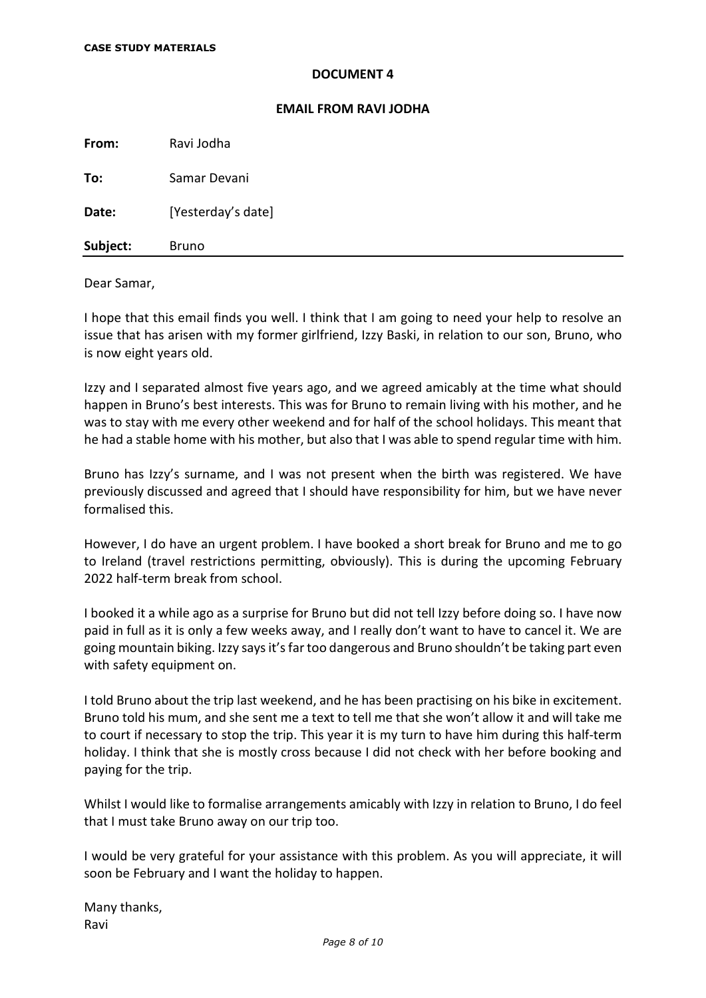#### **EMAIL FROM RAVI JODHA**

**From:** Ravi Jodha **To:** Samar Devani **Date:** [Yesterday's date] Subject: Bruno

#### Dear Samar,

I hope that this email finds you well. I think that I am going to need your help to resolve an issue that has arisen with my former girlfriend, Izzy Baski, in relation to our son, Bruno, who is now eight years old.

Izzy and I separated almost five years ago, and we agreed amicably at the time what should happen in Bruno's best interests. This was for Bruno to remain living with his mother, and he was to stay with me every other weekend and for half of the school holidays. This meant that he had a stable home with his mother, but also that I was able to spend regular time with him.

Bruno has Izzy's surname, and I was not present when the birth was registered. We have previously discussed and agreed that I should have responsibility for him, but we have never formalised this.

However, I do have an urgent problem. I have booked a short break for Bruno and me to go to Ireland (travel restrictions permitting, obviously). This is during the upcoming February 2022 half-term break from school.

I booked it a while ago as a surprise for Bruno but did not tell Izzy before doing so. I have now paid in full as it is only a few weeks away, and I really don't want to have to cancel it. We are going mountain biking. Izzy says it's far too dangerous and Bruno shouldn't be taking part even with safety equipment on.

I told Bruno about the trip last weekend, and he has been practising on his bike in excitement. Bruno told his mum, and she sent me a text to tell me that she won't allow it and will take me to court if necessary to stop the trip. This year it is my turn to have him during this half-term holiday. I think that she is mostly cross because I did not check with her before booking and paying for the trip.

Whilst I would like to formalise arrangements amicably with Izzy in relation to Bruno, I do feel that I must take Bruno away on our trip too.

I would be very grateful for your assistance with this problem. As you will appreciate, it will soon be February and I want the holiday to happen.

Many thanks, Ravi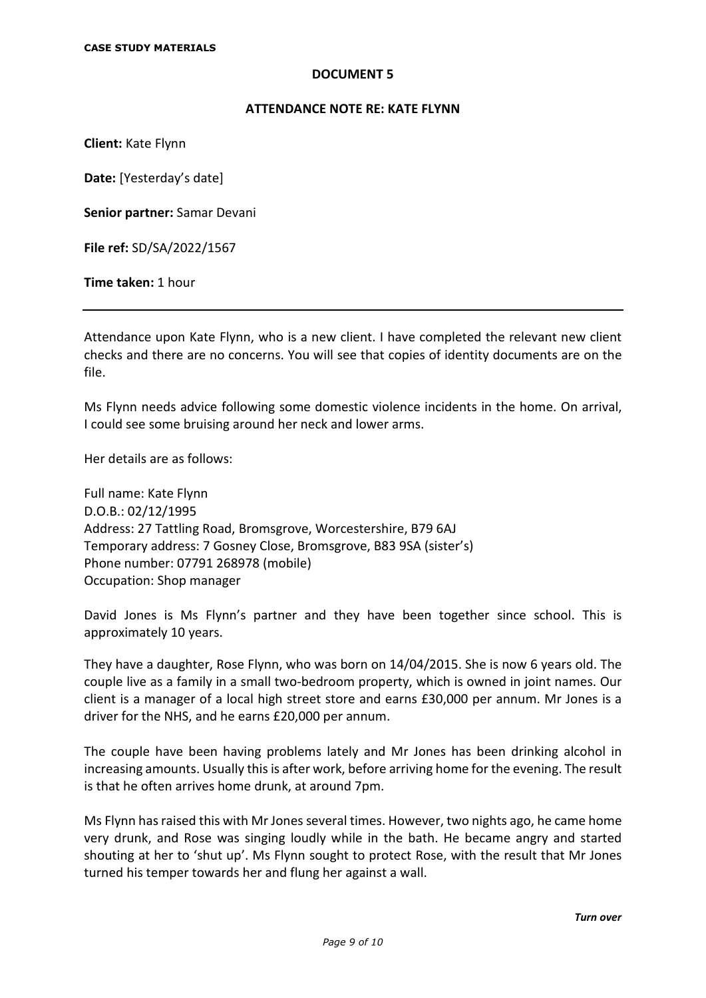### **ATTENDANCE NOTE RE: KATE FLYNN**

**Client:** Kate Flynn

**Date:** [Yesterday's date]

**Senior partner:** Samar Devani

**File ref:** SD/SA/2022/1567

**Time taken:** 1 hour

Attendance upon Kate Flynn, who is a new client. I have completed the relevant new client checks and there are no concerns. You will see that copies of identity documents are on the file.

Ms Flynn needs advice following some domestic violence incidents in the home. On arrival, I could see some bruising around her neck and lower arms.

Her details are as follows:

Full name: Kate Flynn D.O.B.: 02/12/1995 Address: 27 Tattling Road, Bromsgrove, Worcestershire, B79 6AJ Temporary address: 7 Gosney Close, Bromsgrove, B83 9SA (sister's) Phone number: 07791 268978 (mobile) Occupation: Shop manager

David Jones is Ms Flynn's partner and they have been together since school. This is approximately 10 years.

They have a daughter, Rose Flynn, who was born on 14/04/2015. She is now 6 years old. The couple live as a family in a small two-bedroom property, which is owned in joint names. Our client is a manager of a local high street store and earns £30,000 per annum. Mr Jones is a driver for the NHS, and he earns £20,000 per annum.

The couple have been having problems lately and Mr Jones has been drinking alcohol in increasing amounts. Usually this is after work, before arriving home for the evening. The result is that he often arrives home drunk, at around 7pm.

Ms Flynn has raised this with Mr Jones several times. However, two nights ago, he came home very drunk, and Rose was singing loudly while in the bath. He became angry and started shouting at her to 'shut up'. Ms Flynn sought to protect Rose, with the result that Mr Jones turned his temper towards her and flung her against a wall.